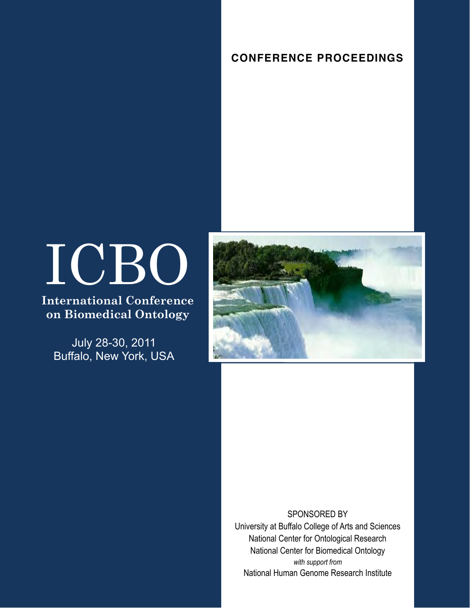## **CONFERENCE PROCEEDINGS**

# ICBO

**International Conference** on Biomedical Ontology

July 28-30, 2011 Buffalo, New York, USA



## SPONSORED BY

University at Buffalo College of Arts and Sciences National Center for Ontological Research National Center for Biomedical Ontology with support from National Human Genome Research Institute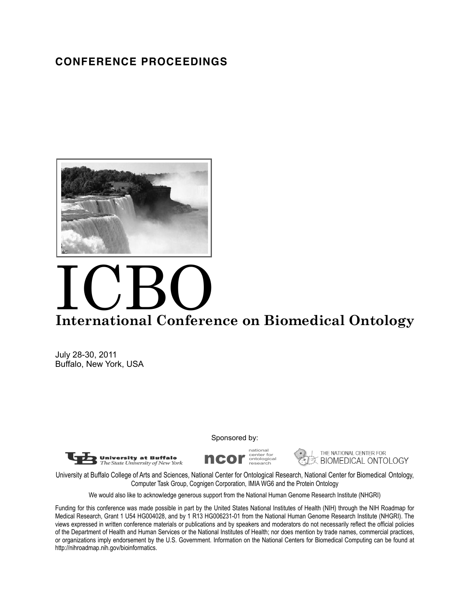## **CONFERENCE PROCEEDINGS**



# **International Conference on Biomedical Ontology**

July 28-30, 2011 Buffalo, New York, USA

Sponsored by:





THE NATIONAL CENTER FOR 7 实 BIOMEDICAL ONTOLOGY

University at Buffalo College of Arts and Sciences, National Center for Ontological Research, National Center for Biomedical Ontology, Computer Task Group, Cognigen Corporation, IMIA WG6 and the Protein Ontology

We would also like to acknowledge generous support from the National Human Genome Research Institute (NHGRI)

Funding for this conference was made possible in part by the United States National Institutes of Health (NIH) through the NIH Roadmap for Medical Research, Grant 1 U54 HG004028, and by 1 R13 HG006231-01 from the National Human Genome Research Institute (NHGRI). The views expressed in written conference materials or publications and by speakers and moderators do not necessarily reflect the official policies of the Department of Health and Human Services or the National Institutes of Health; nor does mention by trade names, commercial practices, or organizations imply endorsement by the U.S. Government. Information on the National Centers for Biomedical Computing can be found at http://nihroadmap.nih.gov/bioinformatics.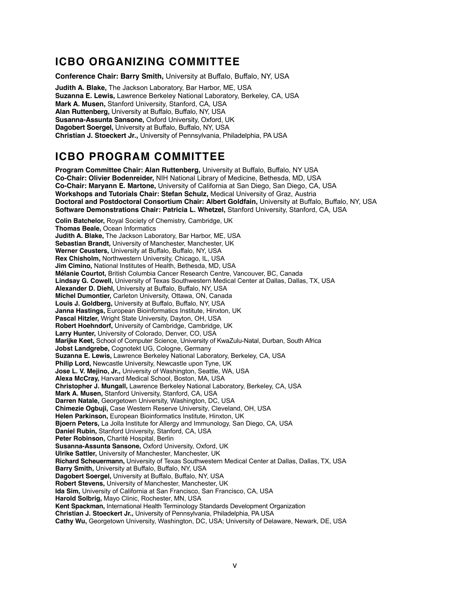## **ICBO ORGANIZING COMMITTEE**

**Conference Chair: Barry Smith,** University at Buffalo, Buffalo, NY, USA **Judith A. Blake,** The Jackson Laboratory, Bar Harbor, ME, USA **Suzanna E. Lewis,** Lawrence Berkeley National Laboratory, Berkeley, CA, USA **Mark A. Musen,** Stanford University, Stanford, CA, USA **Alan Ruttenberg,** University at Buffalo, Buffalo, NY, USA **Susanna-Assunta Sansone,** Oxford University, Oxford, UK **Dagobert Soergel,** University at Buffalo, Buffalo, NY, USA **Christian J. Stoeckert Jr.,** University of Pennsylvania, Philadelphia, PA USA

## **ICBO PROGRAM COMMITTEE**

**Program Committee Chair: Alan Ruttenberg,** University at Buffalo, Buffalo, NY USA **Co-Chair: Olivier Bodenreider,** NIH National Library of Medicine, Bethesda, MD, USA **Co-Chair: Maryann E. Martone,** University of California at San Diego, San Diego, CA, USA **Workshops and Tutorials Chair: Stefan Schulz,** Medical University of Graz, Austria **Doctoral and Postdoctoral Consortium Chair: Albert Goldfain,** University at Buffalo, Buffalo, NY, USA **Software Demonstrations Chair: Patricia L. Whetzel,** Stanford University, Stanford, CA, USA **Colin Batchelor,** Royal Society of Chemistry, Cambridge, UK **Thomas Beale,** Ocean Informatics **Judith A. Blake,** The Jackson Laboratory, Bar Harbor, ME, USA **Sebastian Brandt,** University of Manchester, Manchester, UK **Werner Ceusters,** University at Buffalo, Buffalo, NY, USA

**Rex Chisholm,** Northwestern University, Chicago, IL, USA **Jim Cimino,** National Institutes of Health, Bethesda, MD, USA **Mélanie Courtot,** British Columbia Cancer Research Centre, Vancouver, BC, Canada **Lindsay G. Cowell,** University of Texas Southwestern Medical Center at Dallas, Dallas, TX, USA **Alexander D. Diehl,** University at Buffalo, Buffalo, NY, USA **Michel Dumontier,** Carleton University, Ottawa, ON, Canada **Louis J. Goldberg,** University at Buffalo, Buffalo, NY, USA **Janna Hastings,** European Bioinformatics Institute, Hinxton, UK **Pascal Hitzler, Wright State University, Dayton, OH, USA Robert Hoehndorf,** University of Cambridge, Cambridge, UK **Larry Hunter,** University of Colorado, Denver, CO, USA **Marijke Keet,** School of Computer Science, University of KwaZulu-Natal, Durban, South Africa **Jobst Landgrebe,** Cognotekt UG, Cologne, Germany **Suzanna E. Lewis,** Lawrence Berkeley National Laboratory, Berkeley, CA, USA **Philip Lord,** Newcastle University, Newcastle upon Tyne, UK **Jose L. V. Mejino, Jr.,** University of Washington, Seattle, WA, USA **Alexa McCray,** Harvard Medical School, Boston, MA, USA **Christopher J. Mungall,** Lawrence Berkeley National Laboratory, Berkeley, CA, USA **Mark A. Musen,** Stanford University, Stanford, CA, USA **Darren Natale,** Georgetown University, Washington, DC, USA **Chimezie Ogbuji,** Case Western Reserve University, Cleveland, OH, USA **Helen Parkinson,** European Bioinformatics Institute, Hinxton, UK **Bjoern Peters,** La Jolla Institute for Allergy and Immunology, San Diego, CA, USA **Daniel Rubin,** Stanford University, Stanford, CA, USA **Peter Robinson,** Charité Hospital, Berlin **Susanna-Assunta Sansone,** Oxford University, Oxford, UK **Ulrike Sattler,** University of Manchester, Manchester, UK **Richard Scheuermann,** University of Texas Southwestern Medical Center at Dallas, Dallas, TX, USA **Barry Smith,** University at Buffalo, Buffalo, NY, USA **Dagobert Soergel,** University at Buffalo, Buffalo, NY, USA **Robert Stevens,** University of Manchester, Manchester, UK **Ida Sim,** University of California at San Francisco, San Francisco, CA, USA **Harold Solbrig,** Mayo Clinic, Rochester, MN, USA **Kent Spackman,** International Health Terminology Standards Development Organization **Christian J. Stoeckert Jr.,** University of Pennsylvania, Philadelphia, PA USA **Cathy Wu,** Georgetown University, Washington, DC, USA; University of Delaware, Newark, DE, USA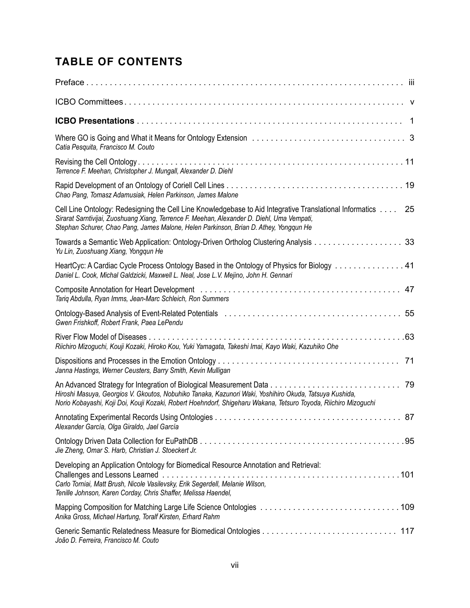# **TABLE OF CONTENTS**

| Catia Pesquita, Francisco M. Couto                                                                                                                                                                                                                                                                 |
|----------------------------------------------------------------------------------------------------------------------------------------------------------------------------------------------------------------------------------------------------------------------------------------------------|
| Terrence F. Meehan, Christopher J. Mungall, Alexander D. Diehl                                                                                                                                                                                                                                     |
| Chao Pang, Tomasz Adamusiak, Helen Parkinson, James Malone                                                                                                                                                                                                                                         |
| Cell Line Ontology: Redesigning the Cell Line Knowledgebase to Aid Integrative Translational Informatics 25<br>Sirarat Sarntivijai, Zuoshuang Xiang, Terrence F. Meehan, Alexander D. Diehl, Uma Vempati,<br>Stephan Schurer, Chao Pang, James Malone, Helen Parkinson, Brian D. Athey, Yongqun He |
| Towards a Semantic Web Application: Ontology-Driven Ortholog Clustering Analysis 33<br>Yu Lin, Zuoshuang Xiang, Yongqun He                                                                                                                                                                         |
| HeartCyc: A Cardiac Cycle Process Ontology Based in the Ontology of Physics for Biology 41<br>Daniel L. Cook, Michal Galdzicki, Maxwell L. Neal, Jose L.V. Mejino, John H. Gennari                                                                                                                 |
| 47<br>Tariq Abdulla, Ryan Imms, Jean-Marc Schleich, Ron Summers                                                                                                                                                                                                                                    |
| Gwen Frishkoff, Robert Frank, Paea LePendu                                                                                                                                                                                                                                                         |
| . 63<br>Riichiro Mizoguchi, Kouji Kozaki, Hiroko Kou, Yuki Yamagata, Takeshi Imai, Kayo Waki, Kazuhiko Ohe                                                                                                                                                                                         |
| 71<br>Janna Hastings, Werner Ceusters, Barry Smith, Kevin Mulligan                                                                                                                                                                                                                                 |
| Hiroshi Masuya, Georgios V. Gkoutos, Nobuhiko Tanaka, Kazunori Waki, Yoshihiro Okuda, Tatsuya Kushida,<br>Norio Kobayashi, Koji Doi, Kouji Kozaki, Robert Hoehndorf, Shigeharu Wakana, Tetsuro Toyoda, Riichiro Mizoguchi                                                                          |
| 87<br>Alexander García, Olga Giraldo, Jael García                                                                                                                                                                                                                                                  |
| Jie Zheng, Omar S. Harb, Christian J. Stoeckert Jr.                                                                                                                                                                                                                                                |
| Developing an Application Ontology for Biomedical Resource Annotation and Retrieval:<br>Carlo Torniai, Matt Brush, Nicole Vasilevsky, Erik Segerdell, Melanie Wilson,<br>Tenille Johnson, Karen Corday, Chris Shaffer, Melissa Haendel,                                                            |
| Anika Gross, Michael Hartung, Toralf Kirsten, Erhard Rahm                                                                                                                                                                                                                                          |
| João D. Ferreira, Francisco M. Couto                                                                                                                                                                                                                                                               |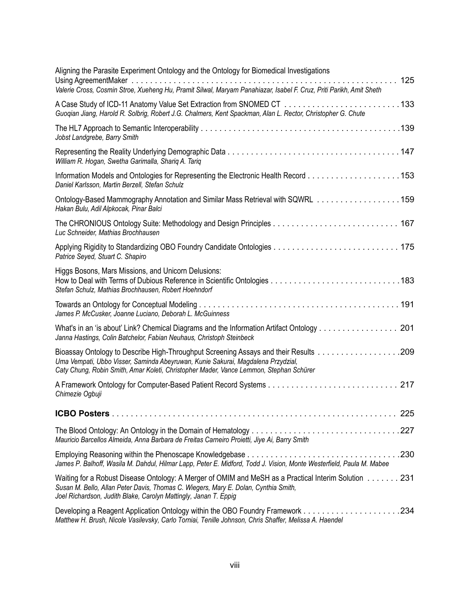| Aligning the Parasite Experiment Ontology and the Ontology for Biomedical Investigations                                                                                                                                                                           |
|--------------------------------------------------------------------------------------------------------------------------------------------------------------------------------------------------------------------------------------------------------------------|
| Valerie Cross, Cosmin Stroe, Xueheng Hu, Pramit Silwal, Maryam Panahiazar, Isabel F. Cruz, Priti Parikh, Amit Sheth                                                                                                                                                |
| Guogian Jiang, Harold R. Solbrig, Robert J.G. Chalmers, Kent Spackman, Alan L. Rector, Christopher G. Chute                                                                                                                                                        |
| Jobst Landgrebe, Barry Smith                                                                                                                                                                                                                                       |
| William R. Hogan, Swetha Garimalla, Shariq A. Tariq                                                                                                                                                                                                                |
| Information Models and Ontologies for Representing the Electronic Health Record 153<br>Daniel Karlsson, Martin Berzell, Stefan Schulz                                                                                                                              |
| Ontology-Based Mammography Annotation and Similar Mass Retrieval with SQWRL 159<br>Hakan Bulu, Adil Alpkocak, Pinar Balci                                                                                                                                          |
| Luc Schneider, Mathias Brochhausen                                                                                                                                                                                                                                 |
| Patrice Seyed, Stuart C. Shapiro                                                                                                                                                                                                                                   |
| Higgs Bosons, Mars Missions, and Unicorn Delusions:<br>Stefan Schulz, Mathias Brochhausen, Robert Hoehndorf                                                                                                                                                        |
| James P. McCusker, Joanne Luciano, Deborah L. McGuinness                                                                                                                                                                                                           |
| What's in an 'is about' Link? Chemical Diagrams and the Information Artifact Ontology 201<br>Janna Hastings, Colin Batchelor, Fabian Neuhaus, Christoph Steinbeck                                                                                                  |
| Bioassay Ontology to Describe High-Throughput Screening Assays and their Results 209<br>Uma Vempati, Ubbo Visser, Saminda Abeyruwan, Kunie Sakurai, Magdalena Przydzial,<br>Caty Chung, Robin Smith, Amar Koleti, Christopher Mader, Vance Lemmon, Stephan Schürer |
| Chimezie Ogbuji                                                                                                                                                                                                                                                    |
| 225                                                                                                                                                                                                                                                                |
| Mauricio Barcellos Almeida, Anna Barbara de Freitas Carneiro Proietti, Jiye Ai, Barry Smith                                                                                                                                                                        |
| James P. Balhoff, Wasila M. Dahdul, Hilmar Lapp, Peter E. Midford, Todd J. Vision, Monte Westerfield, Paula M. Mabee                                                                                                                                               |
| Waiting for a Robust Disease Ontology: A Merger of OMIM and MeSH as a Practical Interim Solution<br>231<br>Susan M. Bello, Allan Peter Davis, Thomas C. Wiegers, Mary E. Dolan, Cynthia Smith,<br>Joel Richardson, Judith Blake, Carolyn Mattingly, Janan T. Eppig |
| Developing a Reagent Application Ontology within the OBO Foundry Framework 234<br>Matthew H. Brush, Nicole Vasilevsky, Carlo Torniai, Tenille Johnson, Chris Shaffer, Melissa A. Haendel                                                                           |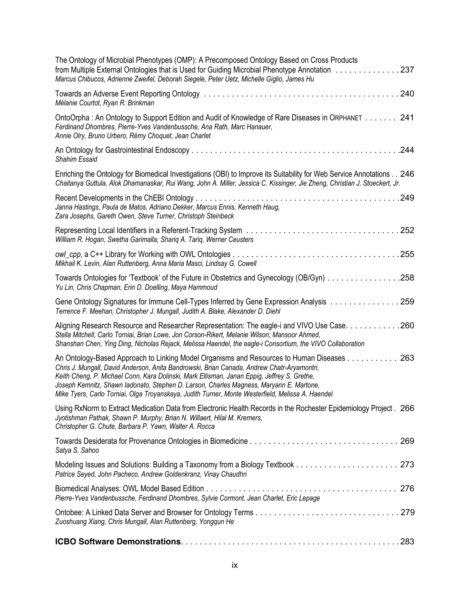| The Ontology of Microbial Phenotypes (OMP): A Precomposed Ontology Based on Cross Products<br>from Multiple External Ontologies that is Used for Guiding Microbial Phenotype Annotation<br>237<br>Marcus Chibucos, Adrienne Zweifel, Deborah Siegele, Peter Uetz, Michelle Giglio, James Hu                                                                                                                                                                                               |
|-------------------------------------------------------------------------------------------------------------------------------------------------------------------------------------------------------------------------------------------------------------------------------------------------------------------------------------------------------------------------------------------------------------------------------------------------------------------------------------------|
| 240<br>Mélanie Courtot, Ryan R. Brinkman                                                                                                                                                                                                                                                                                                                                                                                                                                                  |
| OntoOrpha: An Ontology to Support Edition and Audit of Knowledge of Rare Diseases in ORPHANET<br>241<br>Ferdinand Dhombres, Pierre-Yves Vandenbussche, Ana Rath, Marc Hanauer,<br>Annie Olry, Bruno Urbero, Rémy Choquet, Jean Charlet                                                                                                                                                                                                                                                    |
| 244<br>Shahim Essaid                                                                                                                                                                                                                                                                                                                                                                                                                                                                      |
| Enriching the Ontology for Biomedical Investigations (OBI) to Improve its Suitability for Web Service Annotations 246<br>Chaitanya Guttula, Alok Dhamanaskar, Rui Wang, John A. Miller, Jessica C. Kissinger, Jie Zheng, Christian J. Stoeckert, Jr.                                                                                                                                                                                                                                      |
| 249<br>Janna Hastings, Paula de Matos, Adriano Dekker, Marcus Ennis, Kenneth Haug,<br>Zara Josephs, Gareth Owen, Steve Turner, Christoph Steinbeck                                                                                                                                                                                                                                                                                                                                        |
| 252<br>William R. Hogan, Swetha Garimalla, Shariq A. Tariq, Werner Ceusters                                                                                                                                                                                                                                                                                                                                                                                                               |
| 255<br>Mikhail K. Levin, Alan Ruttenberg, Anna Maria Masci, Lindsay G. Cowell                                                                                                                                                                                                                                                                                                                                                                                                             |
| Towards Ontologies for 'Textbook' of the Future in Obstetrics and Gynecology (OB/Gyn)<br>.258<br>Yu Lin, Chris Chapman, Erin D. Doelling, Maya Hammoud                                                                                                                                                                                                                                                                                                                                    |
| 259<br>Gene Ontology Signatures for Immune Cell-Types Inferred by Gene Expression Analysis<br>Terrence F. Meehan, Christopher J. Mungall, Judith A. Blake, Alexander D. Diehl                                                                                                                                                                                                                                                                                                             |
| Aligning Research Resource and Researcher Representation: The eagle-i and VIVO Use Case. 260<br>Stella Mitchell, Carlo Torniai, Brian Lowe, Jon Corson-Rikert, Melanie Wilson, Mansoor Ahmed,<br>Shanshan Chen, Ying Ding, Nicholas Rejack, Melissa Haendel, the eagle-i Consortium, the VIVO Collaboration                                                                                                                                                                               |
| 263<br>An Ontology-Based Approach to Linking Model Organisms and Resources to Human Diseases<br>Chris J. Mungall, David Anderson, Anita Bandrowski, Brian Canada, Andrew Chatr-Aryamontri,<br>Keith Cheng, P. Michael Conn, Kara Dolinski, Mark Ellisman, Janan Eppig, Jeffrey S. Grethe,<br>Joseph Kemnitz, Shawn ladonato, Stephen D. Larson, Charles Magness, Maryann E. Martone,<br>Mike Tyers, Carlo Torniai, Olga Troyanskaya, Judith Turner, Monte Westerfield, Melissa A. Haendel |
| Using RxNorm to Extract Medication Data from Electronic Health Records in the Rochester Epidemiology Project. 266<br>Jyotishman Pathak, Shawn P. Murphy, Brian N. Willaert, Hilal M. Kremers,<br>Christopher G. Chute, Barbara P. Yawn, Walter A. Rocca                                                                                                                                                                                                                                   |
| Satya S. Sahoo                                                                                                                                                                                                                                                                                                                                                                                                                                                                            |
| Patrice Seyed, John Pacheco, Andrew Goldenkranz, Vinay Chaudhri                                                                                                                                                                                                                                                                                                                                                                                                                           |
| Pierre-Yves Vandenbussche, Ferdinand Dhombres, Sylvie Cormont, Jean Charlet, Eric Lepage                                                                                                                                                                                                                                                                                                                                                                                                  |
| Zuoshuang Xiang, Chris Mungall, Alan Ruttenberg, Yongqun He                                                                                                                                                                                                                                                                                                                                                                                                                               |
|                                                                                                                                                                                                                                                                                                                                                                                                                                                                                           |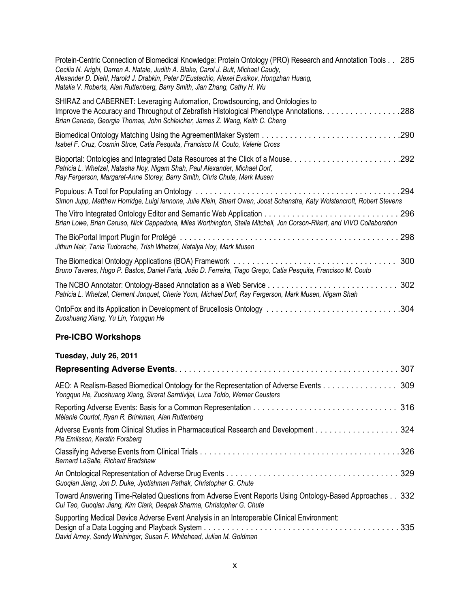| Protein-Centric Connection of Biomedical Knowledge: Protein Ontology (PRO) Research and Annotation Tools 285<br>Cecilia N. Arighi, Darren A. Natale, Judith A. Blake, Carol J. Bult, Michael Caudy,<br>Alexander D. Diehl, Harold J. Drabkin, Peter D'Eustachio, Alexei Evsikov, Hongzhan Huang,<br>Natalia V. Roberts, Alan Ruttenberg, Barry Smith, Jian Zhang, Cathy H. Wu |
|-------------------------------------------------------------------------------------------------------------------------------------------------------------------------------------------------------------------------------------------------------------------------------------------------------------------------------------------------------------------------------|
| SHIRAZ and CABERNET: Leveraging Automation, Crowdsourcing, and Ontologies to<br>Improve the Accuracy and Throughput of Zebrafish Histological Phenotype Annotations. 288<br>Brian Canada, Georgia Thomas, John Schleicher, James Z. Wang, Keith C. Cheng                                                                                                                      |
| .290<br>Isabel F. Cruz, Cosmin Stroe, Catia Pesquita, Francisco M. Couto, Valerie Cross                                                                                                                                                                                                                                                                                       |
| Patricia L. Whetzel, Natasha Noy, Nigam Shah, Paul Alexander, Michael Dorf,<br>Ray Fergerson, Margaret-Anne Storey, Barry Smith, Chris Chute, Mark Musen                                                                                                                                                                                                                      |
| Simon Jupp, Matthew Horridge, Luigi Iannone, Julie Klein, Stuart Owen, Joost Schanstra, Katy Wolstencroft, Robert Stevens                                                                                                                                                                                                                                                     |
| Brian Lowe, Brian Caruso, Nick Cappadona, Miles Worthington, Stella Mitchell, Jon Corson-Rikert, and VIVO Collaboration                                                                                                                                                                                                                                                       |
| 298<br>Jithun Nair, Tania Tudorache, Trish Whetzel, Natalya Noy, Mark Musen                                                                                                                                                                                                                                                                                                   |
| 300<br>Bruno Tavares, Hugo P. Bastos, Daniel Faria, João D. Ferreira, Tiago Grego, Catia Pesquita, Francisco M. Couto                                                                                                                                                                                                                                                         |
| 302<br>Patricia L. Whetzel, Clement Jonquet, Cherie Youn, Michael Dorf, Ray Fergerson, Mark Musen, Nigam Shah                                                                                                                                                                                                                                                                 |
| Zuoshuang Xiang, Yu Lin, Yongqun He                                                                                                                                                                                                                                                                                                                                           |

## **Pre-ICBO Workshops**

| Tuesday, July 26, 2011                                                                                                                                                           |
|----------------------------------------------------------------------------------------------------------------------------------------------------------------------------------|
|                                                                                                                                                                                  |
| AEO: A Realism-Based Biomedical Ontology for the Representation of Adverse Events 309<br>Yongqun He, Zuoshuang Xiang, Sirarat Sarntivijai, Luca Toldo, Werner Ceusters           |
| Mélanie Courtot, Ryan R. Brinkman, Alan Ruttenberg                                                                                                                               |
| Adverse Events from Clinical Studies in Pharmaceutical Research and Development 324<br>Pia Emilsson, Kerstin Forsberg                                                            |
| Bernard LaSalle, Richard Bradshaw                                                                                                                                                |
| Guogian Jiang, Jon D. Duke, Jyotishman Pathak, Christopher G. Chute                                                                                                              |
| Toward Answering Time-Related Questions from Adverse Event Reports Using Ontology-Based Approaches 332<br>Cui Tao, Guoqian Jiang, Kim Clark, Deepak Sharma, Christopher G. Chute |
| Supporting Medical Device Adverse Event Analysis in an Interoperable Clinical Environment:<br>David Arney, Sandy Weininger, Susan F. Whitehead, Julian M. Goldman                |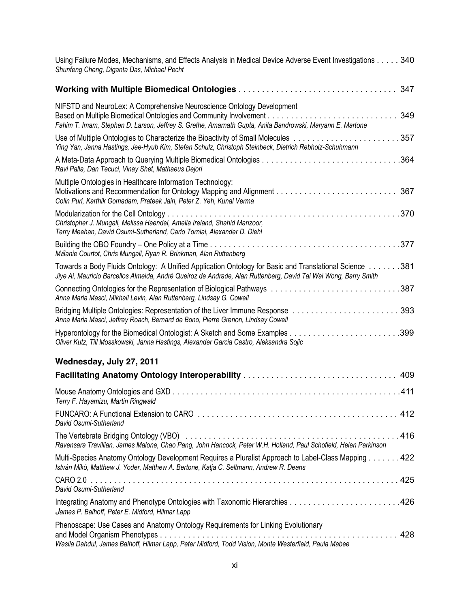| Using Failure Modes, Mechanisms, and Effects Analysis in Medical Device Adverse Event Investigations 340<br>Shunfeng Cheng, Diganta Das, Michael Pecht                                                                                                                                                         |
|----------------------------------------------------------------------------------------------------------------------------------------------------------------------------------------------------------------------------------------------------------------------------------------------------------------|
| 347                                                                                                                                                                                                                                                                                                            |
| NIFSTD and NeuroLex: A Comprehensive Neuroscience Ontology Development<br>Fahim T. Imam, Stephen D. Larson, Jeffrey S. Grethe, Amarnath Gupta, Anita Bandrowski, Maryann E. Martone                                                                                                                            |
| Ying Yan, Janna Hastings, Jee-Hyub Kim, Stefan Schulz, Christoph Steinbeck, Dietrich Rebholz-Schuhmann                                                                                                                                                                                                         |
| Ravi Palla, Dan Tecuci, Vinay Shet, Mathaeus Dejori                                                                                                                                                                                                                                                            |
| Multiple Ontologies in Healthcare Information Technology:<br>367<br>Colin Puri, Karthik Gomadam, Prateek Jain, Peter Z. Yeh, Kunal Verma                                                                                                                                                                       |
| Christopher J. Mungall, Melissa Haendel, Amelia Ireland, Shahid Manzoor,<br>Terry Meehan, David Osumi-Sutherland, Carlo Torniai, Alexander D. Diehl                                                                                                                                                            |
| Mélanie Courtot, Chris Mungall, Ryan R. Brinkman, Alan Ruttenberg                                                                                                                                                                                                                                              |
| Towards a Body Fluids Ontology: A Unified Application Ontology for Basic and Translational Science 381<br>Jiye Ai, Mauricio Barcellos Almeida, André Queiroz de Andrade, Alan Ruttenberg, David Tai Wai Wong, Barry Smith                                                                                      |
| Anna Maria Masci, Mikhail Levin, Alan Ruttenberg, Lindsay G. Cowell                                                                                                                                                                                                                                            |
| Bridging Multiple Ontologies: Representation of the Liver Immune Response 393<br>Anna Maria Masci, Jeffrey Roach, Bernard de Bono, Pierre Grenon, Lindsay Cowell                                                                                                                                               |
| Oliver Kutz, Till Mosskowski, Janna Hastings, Alexander Garcia Castro, Aleksandra Sojic                                                                                                                                                                                                                        |
| Wednesday, July 27, 2011                                                                                                                                                                                                                                                                                       |
|                                                                                                                                                                                                                                                                                                                |
| Terry F. Hayamizu, Martin Ringwald                                                                                                                                                                                                                                                                             |
| David Osumi-Sutherland                                                                                                                                                                                                                                                                                         |
| The Vertebrate Bridging Ontology (VBO) as a contact as a control of the Vertebrate Bridging Ontology (VBO) and contact as a contact and contact and the Vertebrate Bridging Ontology (VBO)<br>Ravensara Travillian, James Malone, Chao Pang, John Hancock, Peter W.H. Holland, Paul Schofield, Helen Parkinson |
| Multi-Species Anatomy Ontology Development Requires a Pluralist Approach to Label-Class Mapping 422<br>István Mikó, Matthew J. Yoder, Matthew A. Bertone, Katja C. Seltmann, Andrew R. Deans                                                                                                                   |
| David Osumi-Sutherland                                                                                                                                                                                                                                                                                         |
| James P. Balhoff, Peter E. Midford, Hilmar Lapp                                                                                                                                                                                                                                                                |
| Phenoscape: Use Cases and Anatomy Ontology Requirements for Linking Evolutionary<br>Wasila Dahdul, James Balhoff, Hilmar Lapp, Peter Midford, Todd Vision, Monte Westerfield, Paula Mabee                                                                                                                      |